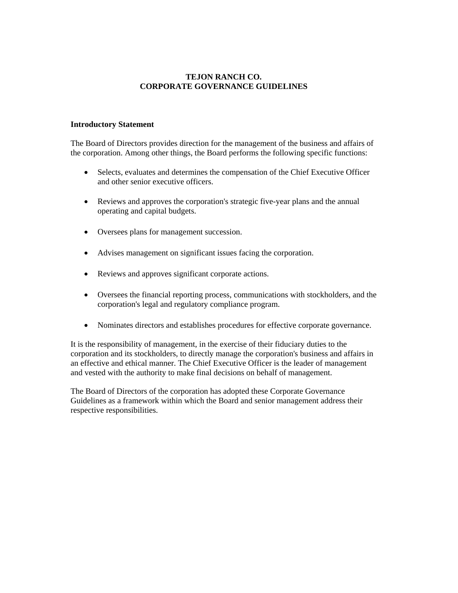# **TEJON RANCH CO. CORPORATE GOVERNANCE GUIDELINES**

### **Introductory Statement**

The Board of Directors provides direction for the management of the business and affairs of the corporation. Among other things, the Board performs the following specific functions:

- Selects, evaluates and determines the compensation of the Chief Executive Officer and other senior executive officers.
- Reviews and approves the corporation's strategic five-year plans and the annual operating and capital budgets.
- Oversees plans for management succession.
- Advises management on significant issues facing the corporation.
- Reviews and approves significant corporate actions.
- Oversees the financial reporting process, communications with stockholders, and the corporation's legal and regulatory compliance program.
- Nominates directors and establishes procedures for effective corporate governance.

It is the responsibility of management, in the exercise of their fiduciary duties to the corporation and its stockholders, to directly manage the corporation's business and affairs in an effective and ethical manner. The Chief Executive Officer is the leader of management and vested with the authority to make final decisions on behalf of management.

The Board of Directors of the corporation has adopted these Corporate Governance Guidelines as a framework within which the Board and senior management address their respective responsibilities.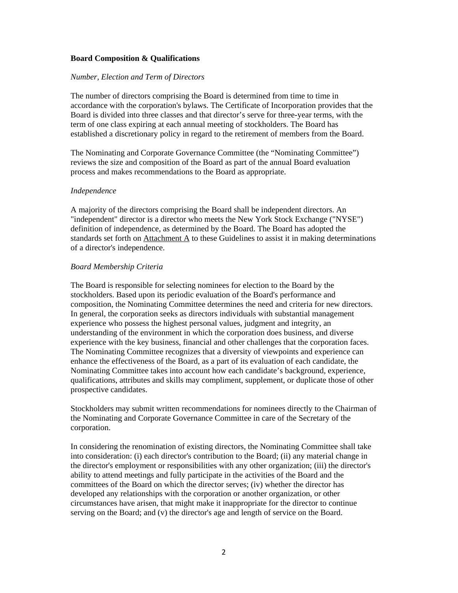## **Board Composition & Qualifications**

### *Number, Election and Term of Directors*

The number of directors comprising the Board is determined from time to time in accordance with the corporation's bylaws. The Certificate of Incorporation provides that the Board is divided into three classes and that director's serve for three-year terms, with the term of one class expiring at each annual meeting of stockholders. The Board has established a discretionary policy in regard to the retirement of members from the Board.

The Nominating and Corporate Governance Committee (the "Nominating Committee") reviews the size and composition of the Board as part of the annual Board evaluation process and makes recommendations to the Board as appropriate.

#### *Independence*

A majority of the directors comprising the Board shall be independent directors. An "independent" director is a director who meets the New York Stock Exchange ("NYSE") definition of independence, as determined by the Board. The Board has adopted the standards set forth on Attachment A to these Guidelines to assist it in making determinations of a director's independence.

#### *Board Membership Criteria*

The Board is responsible for selecting nominees for election to the Board by the stockholders. Based upon its periodic evaluation of the Board's performance and composition, the Nominating Committee determines the need and criteria for new directors. In general, the corporation seeks as directors individuals with substantial management experience who possess the highest personal values, judgment and integrity, an understanding of the environment in which the corporation does business, and diverse experience with the key business, financial and other challenges that the corporation faces. The Nominating Committee recognizes that a diversity of viewpoints and experience can enhance the effectiveness of the Board, as a part of its evaluation of each candidate, the Nominating Committee takes into account how each candidate's background, experience, qualifications, attributes and skills may compliment, supplement, or duplicate those of other prospective candidates.

Stockholders may submit written recommendations for nominees directly to the Chairman of the Nominating and Corporate Governance Committee in care of the Secretary of the corporation.

In considering the renomination of existing directors, the Nominating Committee shall take into consideration: (i) each director's contribution to the Board; (ii) any material change in the director's employment or responsibilities with any other organization; (iii) the director's ability to attend meetings and fully participate in the activities of the Board and the committees of the Board on which the director serves; (iv) whether the director has developed any relationships with the corporation or another organization, or other circumstances have arisen, that might make it inappropriate for the director to continue serving on the Board; and (v) the director's age and length of service on the Board.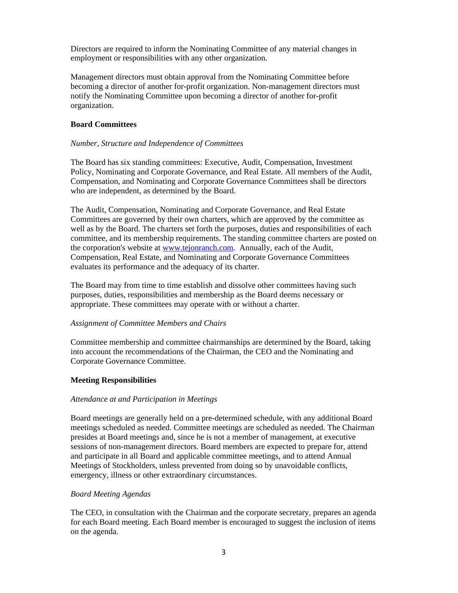Directors are required to inform the Nominating Committee of any material changes in employment or responsibilities with any other organization.

Management directors must obtain approval from the Nominating Committee before becoming a director of another for-profit organization. Non-management directors must notify the Nominating Committee upon becoming a director of another for-profit organization.

## **Board Committees**

### *Number, Structure and Independence of Committees*

The Board has six standing committees: Executive, Audit, Compensation, Investment Policy, Nominating and Corporate Governance, and Real Estate. All members of the Audit, Compensation, and Nominating and Corporate Governance Committees shall be directors who are independent, as determined by the Board.

The Audit, Compensation, Nominating and Corporate Governance, and Real Estate Committees are governed by their own charters, which are approved by the committee as well as by the Board. The charters set forth the purposes, duties and responsibilities of each committee, and its membership requirements. The standing committee charters are posted on the corporation's website at [www.tejonranch.com.](http://www.tejonranch.com/) Annually, each of the Audit, Compensation, Real Estate, and Nominating and Corporate Governance Committees evaluates its performance and the adequacy of its charter.

The Board may from time to time establish and dissolve other committees having such purposes, duties, responsibilities and membership as the Board deems necessary or appropriate. These committees may operate with or without a charter.

### *Assignment of Committee Members and Chairs*

Committee membership and committee chairmanships are determined by the Board, taking into account the recommendations of the Chairman, the CEO and the Nominating and Corporate Governance Committee.

### **Meeting Responsibilities**

### *Attendance at and Participation in Meetings*

Board meetings are generally held on a pre-determined schedule, with any additional Board meetings scheduled as needed. Committee meetings are scheduled as needed. The Chairman presides at Board meetings and, since he is not a member of management, at executive sessions of non-management directors. Board members are expected to prepare for, attend and participate in all Board and applicable committee meetings, and to attend Annual Meetings of Stockholders, unless prevented from doing so by unavoidable conflicts, emergency, illness or other extraordinary circumstances.

# *Board Meeting Agendas*

The CEO, in consultation with the Chairman and the corporate secretary, prepares an agenda for each Board meeting. Each Board member is encouraged to suggest the inclusion of items on the agenda.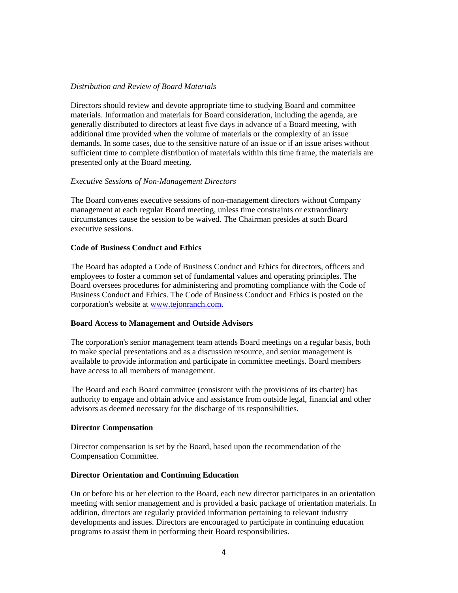## *Distribution and Review of Board Materials*

Directors should review and devote appropriate time to studying Board and committee materials. Information and materials for Board consideration, including the agenda, are generally distributed to directors at least five days in advance of a Board meeting, with additional time provided when the volume of materials or the complexity of an issue demands. In some cases, due to the sensitive nature of an issue or if an issue arises without sufficient time to complete distribution of materials within this time frame, the materials are presented only at the Board meeting.

## *Executive Sessions of Non-Management Directors*

The Board convenes executive sessions of non-management directors without Company management at each regular Board meeting, unless time constraints or extraordinary circumstances cause the session to be waived. The Chairman presides at such Board executive sessions.

## **Code of Business Conduct and Ethics**

The Board has adopted a Code of Business Conduct and Ethics for directors, officers and employees to foster a common set of fundamental values and operating principles. The Board oversees procedures for administering and promoting compliance with the Code of Business Conduct and Ethics. The Code of Business Conduct and Ethics is posted on the corporation's website at [www.tejonranch.com.](http://www.tejonranch.com/)

# **Board Access to Management and Outside Advisors**

The corporation's senior management team attends Board meetings on a regular basis, both to make special presentations and as a discussion resource, and senior management is available to provide information and participate in committee meetings. Board members have access to all members of management.

The Board and each Board committee (consistent with the provisions of its charter) has authority to engage and obtain advice and assistance from outside legal, financial and other advisors as deemed necessary for the discharge of its responsibilities.

### **Director Compensation**

Director compensation is set by the Board, based upon the recommendation of the Compensation Committee.

### **Director Orientation and Continuing Education**

On or before his or her election to the Board, each new director participates in an orientation meeting with senior management and is provided a basic package of orientation materials. In addition, directors are regularly provided information pertaining to relevant industry developments and issues. Directors are encouraged to participate in continuing education programs to assist them in performing their Board responsibilities.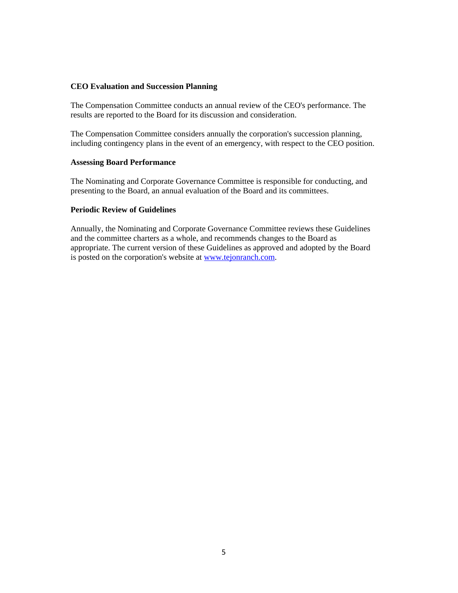### **CEO Evaluation and Succession Planning**

The Compensation Committee conducts an annual review of the CEO's performance. The results are reported to the Board for its discussion and consideration.

The Compensation Committee considers annually the corporation's succession planning, including contingency plans in the event of an emergency, with respect to the CEO position.

### **Assessing Board Performance**

The Nominating and Corporate Governance Committee is responsible for conducting, and presenting to the Board, an annual evaluation of the Board and its committees.

## **Periodic Review of Guidelines**

Annually, the Nominating and Corporate Governance Committee reviews these Guidelines and the committee charters as a whole, and recommends changes to the Board as appropriate. The current version of these Guidelines as approved and adopted by the Board is posted on the corporation's website at [www.tejonranch.com.](http://www.tejonranch.com/)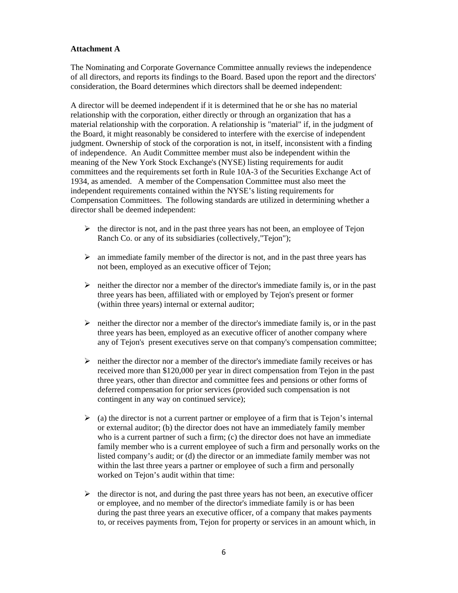# **Attachment A**

The Nominating and Corporate Governance Committee annually reviews the independence of all directors, and reports its findings to the Board. Based upon the report and the directors' consideration, the Board determines which directors shall be deemed independent:

A director will be deemed independent if it is determined that he or she has no material relationship with the corporation, either directly or through an organization that has a material relationship with the corporation. A relationship is "material" if, in the judgment of the Board, it might reasonably be considered to interfere with the exercise of independent judgment. Ownership of stock of the corporation is not, in itself, inconsistent with a finding of independence. An Audit Committee member must also be independent within the meaning of the New York Stock Exchange's (NYSE) listing requirements for audit committees and the requirements set forth in Rule 10A-3 of the Securities Exchange Act of 1934, as amended. A member of the Compensation Committee must also meet the independent requirements contained within the NYSE's listing requirements for Compensation Committees. The following standards are utilized in determining whether a director shall be deemed independent:

- $\triangleright$  the director is not, and in the past three years has not been, an employee of Tejon Ranch Co. or any of its subsidiaries (collectively,"Tejon");
- $\triangleright$  an immediate family member of the director is not, and in the past three years has not been, employed as an executive officer of Tejon;
- $\triangleright$  neither the director nor a member of the director's immediate family is, or in the past three years has been, affiliated with or employed by Tejon's present or former (within three years) internal or external auditor;
- $\triangleright$  neither the director nor a member of the director's immediate family is, or in the past three years has been, employed as an executive officer of another company where any of Tejon's present executives serve on that company's compensation committee;
- $\triangleright$  neither the director nor a member of the director's immediate family receives or has received more than \$120,000 per year in direct compensation from Tejon in the past three years, other than director and committee fees and pensions or other forms of deferred compensation for prior services (provided such compensation is not contingent in any way on continued service);
- $\geq$  (a) the director is not a current partner or employee of a firm that is Tejon's internal or external auditor; (b) the director does not have an immediately family member who is a current partner of such a firm; (c) the director does not have an immediate family member who is a current employee of such a firm and personally works on the listed company's audit; or (d) the director or an immediate family member was not within the last three years a partner or employee of such a firm and personally worked on Tejon's audit within that time:
- $\triangleright$  the director is not, and during the past three years has not been, an executive officer or employee, and no member of the director's immediate family is or has been during the past three years an executive officer, of a company that makes payments to, or receives payments from, Tejon for property or services in an amount which, in